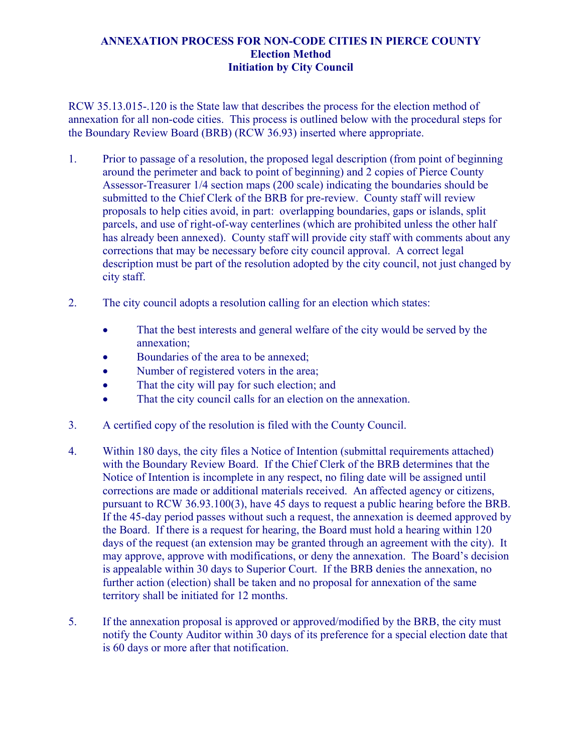## **ANNEXATION PROCESS FOR NON-CODE CITIES IN PIERCE COUNTY Election Method Initiation by City Council**

RCW 35.13.015-.120 is the State law that describes the process for the election method of annexation for all non-code cities. This process is outlined below with the procedural steps for the Boundary Review Board (BRB) (RCW 36.93) inserted where appropriate.

- 1. Prior to passage of a resolution, the proposed legal description (from point of beginning around the perimeter and back to point of beginning) and 2 copies of Pierce County Assessor-Treasurer 1/4 section maps (200 scale) indicating the boundaries should be submitted to the Chief Clerk of the BRB for pre-review. County staff will review proposals to help cities avoid, in part: overlapping boundaries, gaps or islands, split parcels, and use of right-of-way centerlines (which are prohibited unless the other half has already been annexed). County staff will provide city staff with comments about any corrections that may be necessary before city council approval. A correct legal description must be part of the resolution adopted by the city council, not just changed by city staff.
- 2. The city council adopts a resolution calling for an election which states:
	- That the best interests and general welfare of the city would be served by the annexation;
	- Boundaries of the area to be annexed;
	- Number of registered voters in the area;
	- That the city will pay for such election; and
	- That the city council calls for an election on the annexation.
- 3. A certified copy of the resolution is filed with the County Council.
- 4. Within 180 days, the city files a Notice of Intention (submittal requirements attached) with the Boundary Review Board. If the Chief Clerk of the BRB determines that the Notice of Intention is incomplete in any respect, no filing date will be assigned until corrections are made or additional materials received. An affected agency or citizens, pursuant to RCW 36.93.100(3), have 45 days to request a public hearing before the BRB. If the 45-day period passes without such a request, the annexation is deemed approved by the Board. If there is a request for hearing, the Board must hold a hearing within 120 days of the request (an extension may be granted through an agreement with the city). It may approve, approve with modifications, or deny the annexation. The Board's decision is appealable within 30 days to Superior Court. If the BRB denies the annexation, no further action (election) shall be taken and no proposal for annexation of the same territory shall be initiated for 12 months.
- 5. If the annexation proposal is approved or approved/modified by the BRB, the city must notify the County Auditor within 30 days of its preference for a special election date that is 60 days or more after that notification.